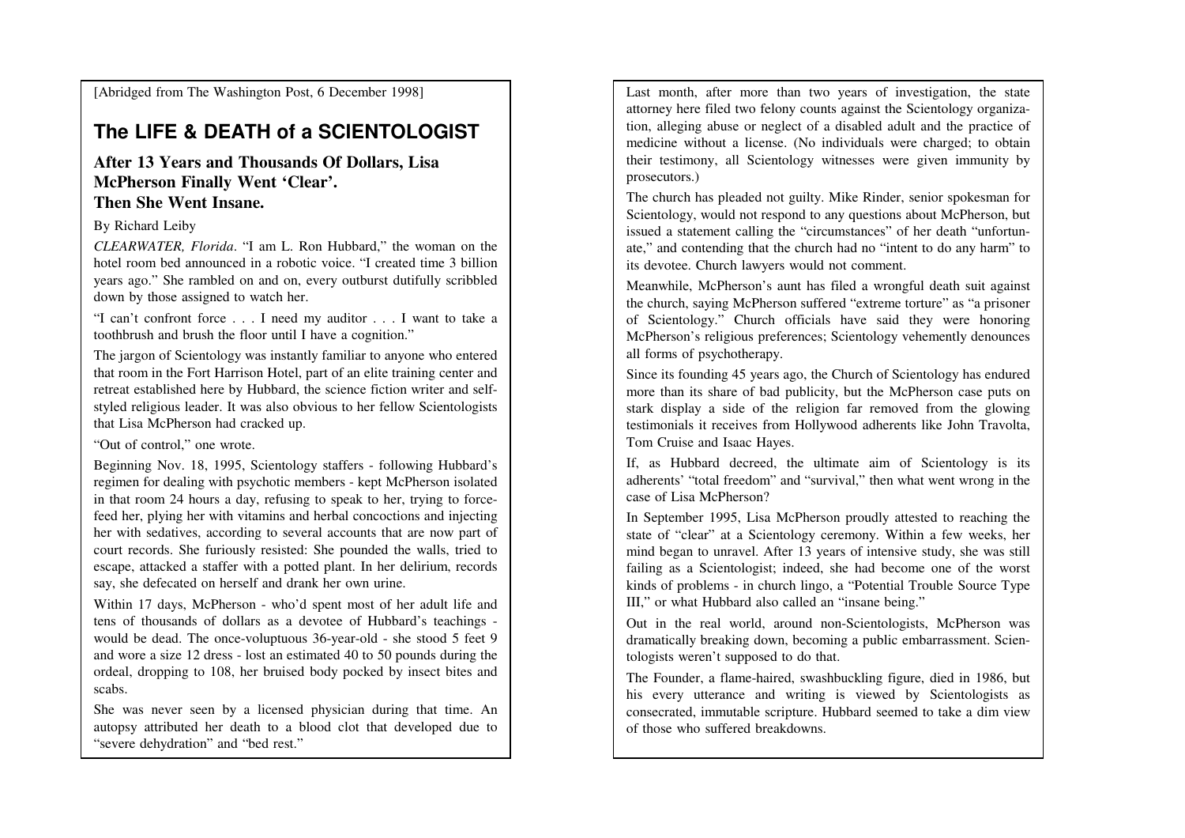[Abridged from The Washington Post, 6 December 1998]

## **The LIFE & DEATH of a SCIENTOLOGIST**

## **After 13 Years and Thousands Of Dollars, LisaMcPherson Finally Went 'Clear'.Then She Went Insane.**

## By Richard Leiby

*CLEARWATER, Florida*. "I am L. Ron Hubbard," the woman on the hotel room bed announced in a robotic voice. "I created time 3 billion years ago." She rambled on and on, every outburst dutifully scribbleddown by those assigned to watch her.

"I can't confront force . . . I need my auditor . . . I want to take atoothbrush and brush the floor until I have a cognition."

The jargon of Scientology was instantly familiar to anyone who entered that room in the Fort Harrison Hotel, part of an elite training center and retreat established here by Hubbard, the science fiction writer and selfstyled religious leader. It was also obvious to her fellow Scientologiststhat Lisa McPherson had cracked up.

"Out of control," one wrote.

Beginning Nov. 18, 1995, Scientology staffers - following Hubbard's regimen for dealing with psychotic members - kept McPherson isolated in that room 24 hours a day, refusing to speak to her, trying to forcefeed her, plying her with vitamins and herbal concoctions and injecting her with sedatives, according to several accounts that are now part of court records. She furiously resisted: She pounded the walls, tried to escape, attacked a staffer with a potted plant. In her delirium, recordssay, she defecated on herself and drank her own urine.

Within 17 days, McPherson - who'd spent most of her adult life and tens of thousands of dollars as a devotee of Hubbard's teachings would be dead. The once-voluptuous 36-year-old - she stood 5 feet 9 and wore a size 12 dress - lost an estimated 40 to 50 pounds during the ordeal, dropping to 108, her bruised body pocked by insect bites andscabs.

She was never seen by a licensed physician during that time. An autopsy attributed her death to a blood clot that developed due to"severe dehydration" and "bed rest."

Last month, after more than two years of investigation, the state attorney here filed two felony counts against the Scientology organization, alleging abuse or neglect of a disabled adult and the practice of medicine without a license. (No individuals were charged; to obtain their testimony, all Scientology witnesses were given immunity byprosecutors.)

The church has pleaded not guilty. Mike Rinder, senior spokesman for Scientology, would not respond to any questions about McPherson, but issued a statement calling the "circumstances" of her death "unfortunate," and contending that the church had no "intent to do any harm" toits devotee. Church lawyers would not comment.

Meanwhile, McPherson's aunt has filed a wrongful death suit against the church, saying McPherson suffered "extreme torture" as "a prisoner of Scientology." Church officials have said they were honoring McPherson's religious preferences; Scientology vehemently denouncesall forms of psychotherapy.

Since its founding 45 years ago, the Church of Scientology has endured more than its share of bad publicity, but the McPherson case puts on stark display a side of the religion far removed from the glowing testimonials it receives from Hollywood adherents like John Travolta,Tom Cruise and Isaac Hayes.

If, as Hubbard decreed, the ultimate aim of Scientology is its adherents' "total freedom" and "survival," then what went wrong in thecase of Lisa McPherson?

 In September 1995, Lisa McPherson proudly attested to reaching the state of "clear" at a Scientology ceremony. Within a few weeks, her mind began to unravel. After 13 years of intensive study, she was still failing as a Scientologist; indeed, she had become one of the worst kinds of problems - in church lingo, a "Potential Trouble Source TypeIII," or what Hubbard also called an "insane being."

Out in the real world, around non-Scientologists, McPherson was dramatically breaking down, becoming a public embarrassment. Scientologists weren't supposed to do that.

The Founder, a flame-haired, swashbuckling figure, died in 1986, but his every utterance and writing is viewed by Scientologists as consecrated, immutable scripture. Hubbard seemed to take a dim viewof those who suffered breakdowns.